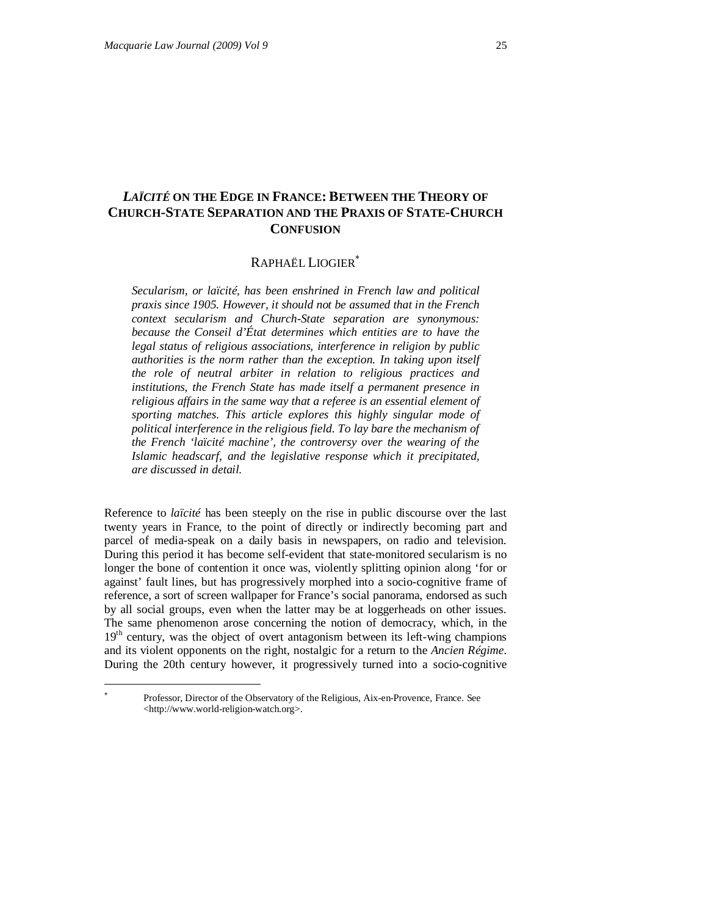# *LAÏCITÉ* **ON THE EDGE IN FRANCE: BETWEEN THE THEORY OF CHURCH-STATE SEPARATION AND THE PRAXIS OF STATE-CHURCH CONFUSION**

## RAPHAËL LIOGIER

*Secularism, or laïcité, has been enshrined in French law and political praxis since 1905. However, it should not be assumed that in the French context secularism and Church-State separation are synonymous: because the Conseil d'État determines which entities are to have the legal status of religious associations, interference in religion by public authorities is the norm rather than the exception. In taking upon itself the role of neutral arbiter in relation to religious practices and institutions, the French State has made itself a permanent presence in religious affairs in the same way that a referee is an essential element of sporting matches. This article explores this highly singular mode of political interference in the religious field. To lay bare the mechanism of the French 'laïcité machine', the controversy over the wearing of the Islamic headscarf, and the legislative response which it precipitated, are discussed in detail.* 

Reference to *laïcité* has been steeply on the rise in public discourse over the last twenty years in France, to the point of directly or indirectly becoming part and parcel of media-speak on a daily basis in newspapers, on radio and television. During this period it has become self-evident that state-monitored secularism is no longer the bone of contention it once was, violently splitting opinion along 'for or against' fault lines, but has progressively morphed into a socio-cognitive frame of reference, a sort of screen wallpaper for France's social panorama, endorsed as such by all social groups, even when the latter may be at loggerheads on other issues. The same phenomenon arose concerning the notion of democracy, which, in the 19<sup>th</sup> century, was the object of overt antagonism between its left-wing champions and its violent opponents on the right, nostalgic for a return to the *Ancien Régime*. During the 20th century however, it progressively turned into a socio-cognitive

Professor, Director of the Observatory of the Religious, Aix-en-Provence, France. See <http://www.world-religion-watch.org>.

-÷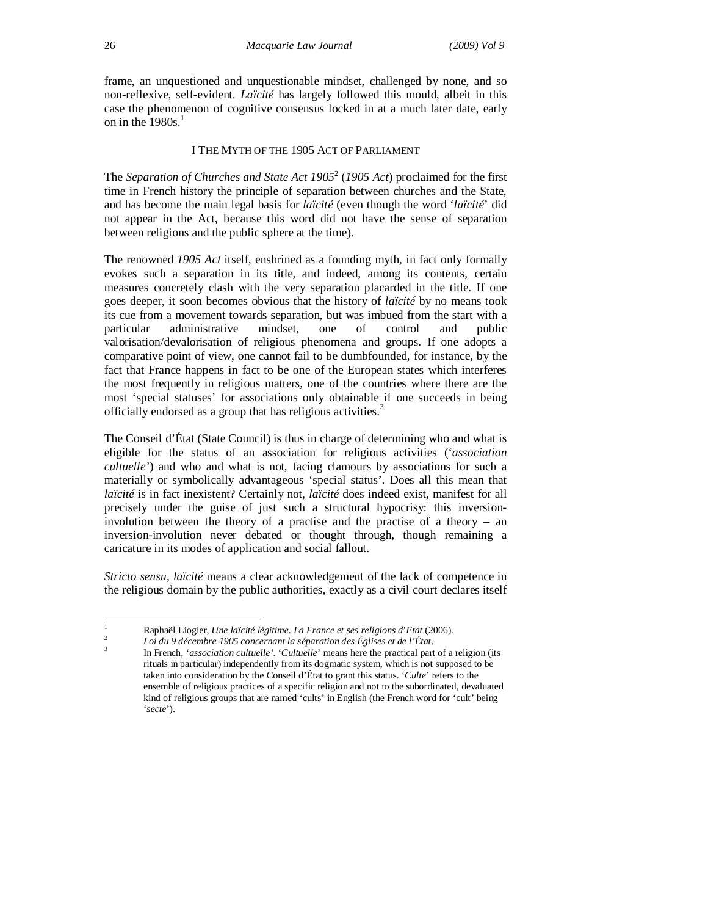frame, an unquestioned and unquestionable mindset, challenged by none, and so non-reflexive, self-evident. *Laïcité* has largely followed this mould, albeit in this case the phenomenon of cognitive consensus locked in at a much later date, early on in the  $1980s.<sup>1</sup>$ 

#### I THE MYTH OF THE 1905 ACT OF PARLIAMENT

The *Separation of Churches and State Act 1905*<sup>2</sup> (*1905 Act*) proclaimed for the first time in French history the principle of separation between churches and the State, and has become the main legal basis for *laïcité* (even though the word '*laïcité*' did not appear in the Act, because this word did not have the sense of separation between religions and the public sphere at the time).

The renowned *1905 Act* itself, enshrined as a founding myth, in fact only formally evokes such a separation in its title, and indeed, among its contents, certain measures concretely clash with the very separation placarded in the title. If one goes deeper, it soon becomes obvious that the history of *laïcité* by no means took its cue from a movement towards separation, but was imbued from the start with a particular administrative mindset, one of control and public valorisation/devalorisation of religious phenomena and groups. If one adopts a comparative point of view, one cannot fail to be dumbfounded, for instance, by the fact that France happens in fact to be one of the European states which interferes the most frequently in religious matters, one of the countries where there are the most 'special statuses' for associations only obtainable if one succeeds in being officially endorsed as a group that has religious activities.<sup>3</sup>

The Conseil d'État (State Council) is thus in charge of determining who and what is eligible for the status of an association for religious activities ('*association cultuelle'*) and who and what is not, facing clamours by associations for such a materially or symbolically advantageous 'special status'. Does all this mean that *laïcité* is in fact inexistent? Certainly not, *laïcité* does indeed exist, manifest for all precisely under the guise of just such a structural hypocrisy: this inversioninvolution between the theory of a practise and the practise of a theory – an inversion-involution never debated or thought through, though remaining a caricature in its modes of application and social fallout.

*Stricto sensu*, *laïcité* means a clear acknowledgement of the lack of competence in the religious domain by the public authorities, exactly as a civil court declares itself

2 *Loi du 9 décembre 1905 concernant la séparation des Églises et de l'État*. 3

 $\mathbf{1}$ <sup>1</sup> Raphaël Liogier, *Une laïcité légitime. La France et ses religions d*'*Etat* (2006).

In French, '*association cultuelle'*. '*Cultuelle*' means here the practical part of a religion (its rituals in particular) independently from its dogmatic system, which is not supposed to be taken into consideration by the Conseil d'État to grant this status. '*Culte*' refers to the ensemble of religious practices of a specific religion and not to the subordinated, devaluated kind of religious groups that are named 'cults' in English (the French word for 'cult' being '*secte*').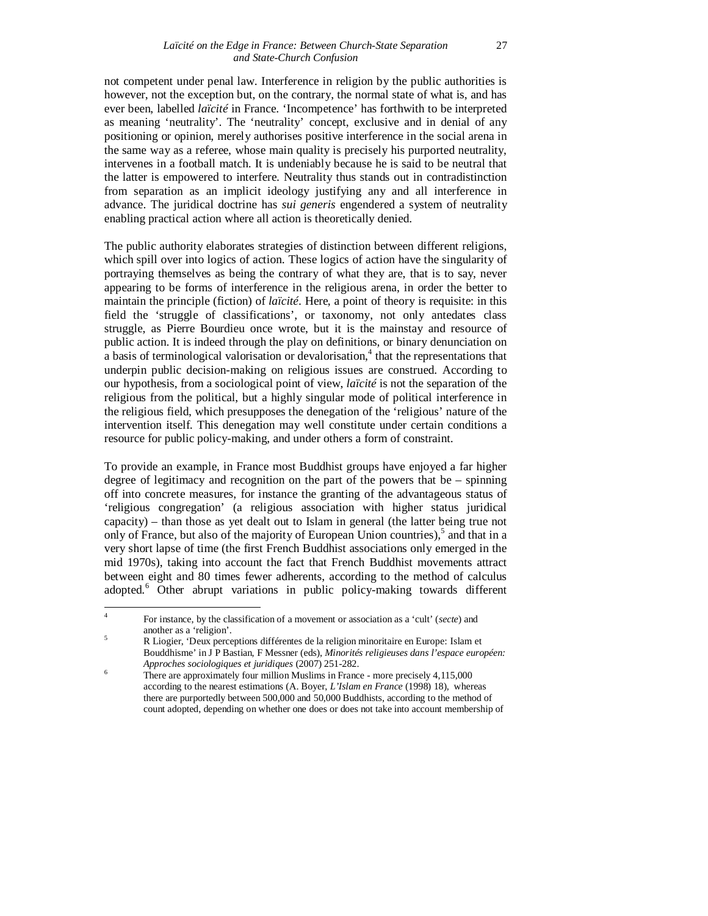not competent under penal law. Interference in religion by the public authorities is however, not the exception but, on the contrary, the normal state of what is, and has ever been, labelled *laïcité* in France. 'Incompetence' has forthwith to be interpreted as meaning 'neutrality'. The 'neutrality' concept, exclusive and in denial of any positioning or opinion, merely authorises positive interference in the social arena in the same way as a referee, whose main quality is precisely his purported neutrality, intervenes in a football match. It is undeniably because he is said to be neutral that the latter is empowered to interfere. Neutrality thus stands out in contradistinction from separation as an implicit ideology justifying any and all interference in advance. The juridical doctrine has *sui generis* engendered a system of neutrality enabling practical action where all action is theoretically denied.

The public authority elaborates strategies of distinction between different religions, which spill over into logics of action. These logics of action have the singularity of portraying themselves as being the contrary of what they are, that is to say, never appearing to be forms of interference in the religious arena, in order the better to maintain the principle (fiction) of *laïcité*. Here, a point of theory is requisite: in this field the 'struggle of classifications', or taxonomy, not only antedates class struggle, as Pierre Bourdieu once wrote, but it is the mainstay and resource of public action. It is indeed through the play on definitions, or binary denunciation on a basis of terminological valorisation or devalorisation,<sup>4</sup> that the representations that underpin public decision-making on religious issues are construed. According to our hypothesis, from a sociological point of view, *laïcité* is not the separation of the religious from the political, but a highly singular mode of political interference in the religious field, which presupposes the denegation of the 'religious' nature of the intervention itself. This denegation may well constitute under certain conditions a resource for public policy-making, and under others a form of constraint.

To provide an example, in France most Buddhist groups have enjoyed a far higher degree of legitimacy and recognition on the part of the powers that be – spinning off into concrete measures, for instance the granting of the advantageous status of 'religious congregation' (a religious association with higher status juridical capacity) – than those as yet dealt out to Islam in general (the latter being true not only of France, but also of the majority of European Union countries), 5 and that in a very short lapse of time (the first French Buddhist associations only emerged in the mid 1970s), taking into account the fact that French Buddhist movements attract between eight and 80 times fewer adherents, according to the method of calculus adopted.<sup>6</sup> Other abrupt variations in public policy-making towards different

<sup>-&</sup>lt;br>4 For instance, by the classification of a movement or association as a 'cult' (*secte*) and another as a 'religion'.

<sup>5</sup> R Liogier, 'Deux perceptions différentes de la religion minoritaire en Europe: Islam et Bouddhisme' in J P Bastian, F Messner (eds), *Minorités religieuses dans l'espace européen: Approches sociologiques et juridiques* (2007) 251-282.

 $\frac{6}{100}$  There are approximately four million Muslims in France - more precisely 4,115,000 according to the nearest estimations (A. Boyer, *L'Islam en France* (1998) 18), whereas there are purportedly between 500,000 and 50,000 Buddhists, according to the method of count adopted, depending on whether one does or does not take into account membership of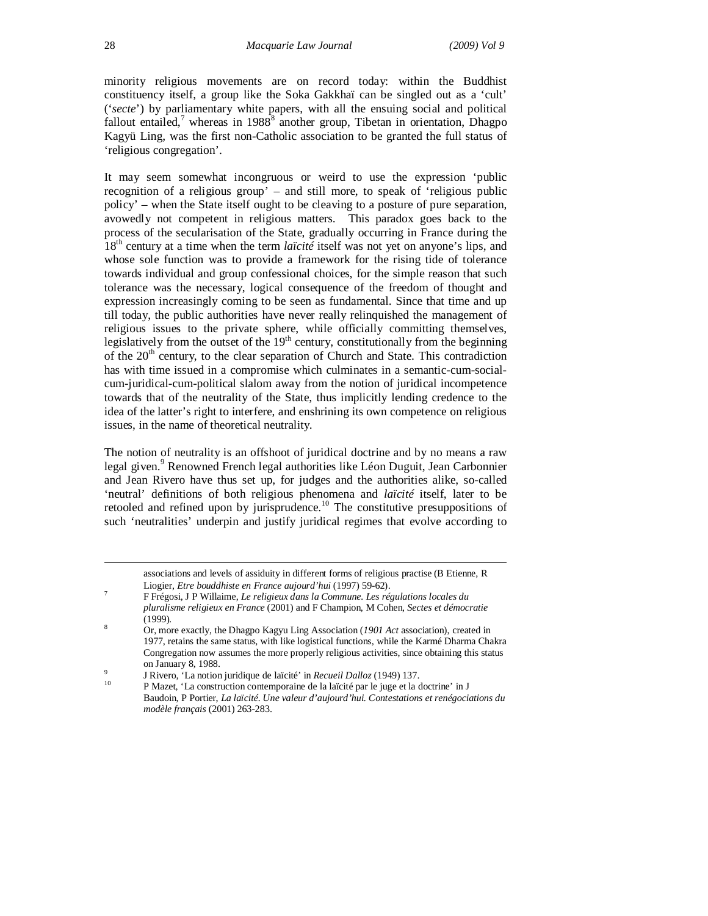minority religious movements are on record today: within the Buddhist constituency itself, a group like the Soka Gakkhaï can be singled out as a 'cult' ('*secte*') by parliamentary white papers, with all the ensuing social and political fallout entailed,<sup>7</sup> whereas in 1988<sup>8</sup> another group, Tibetan in orientation, Dhagpo Kagyü Ling, was the first non-Catholic association to be granted the full status of 'religious congregation'.

It may seem somewhat incongruous or weird to use the expression 'public recognition of a religious group' – and still more, to speak of 'religious public policy' – when the State itself ought to be cleaving to a posture of pure separation, avowedly not competent in religious matters. This paradox goes back to the process of the secularisation of the State, gradually occurring in France during the 18th century at a time when the term *laïcité* itself was not yet on anyone's lips, and whose sole function was to provide a framework for the rising tide of tolerance towards individual and group confessional choices, for the simple reason that such tolerance was the necessary, logical consequence of the freedom of thought and expression increasingly coming to be seen as fundamental. Since that time and up till today, the public authorities have never really relinquished the management of religious issues to the private sphere, while officially committing themselves, legislatively from the outset of the  $19<sup>th</sup>$  century, constitutionally from the beginning of the  $20<sup>th</sup>$  century, to the clear separation of Church and State. This contradiction has with time issued in a compromise which culminates in a semantic-cum-socialcum-juridical-cum-political slalom away from the notion of juridical incompetence towards that of the neutrality of the State, thus implicitly lending credence to the idea of the latter's right to interfere, and enshrining its own competence on religious issues, in the name of theoretical neutrality.

The notion of neutrality is an offshoot of juridical doctrine and by no means a raw legal given.<sup>9</sup> Renowned French legal authorities like Léon Duguit, Jean Carbonnier and Jean Rivero have thus set up, for judges and the authorities alike, so-called 'neutral' definitions of both religious phenomena and *laïcité* itself, later to be retooled and refined upon by jurisprudence.<sup>10</sup> The constitutive presuppositions of such 'neutralities' underpin and justify juridical regimes that evolve according to

|    | associations and levels of assiduity in different forms of religious practise (B Etienne, R                                                                                                                                                                                            |
|----|----------------------------------------------------------------------------------------------------------------------------------------------------------------------------------------------------------------------------------------------------------------------------------------|
|    | Liogier, <i>Etre bouddhiste en France aujourd'hui</i> (1997) 59-62).                                                                                                                                                                                                                   |
| 7  | F Frégosi, J P Willaime, Le religieux dans la Commune. Les régulations locales du                                                                                                                                                                                                      |
|    | pluralisme religieux en France (2001) and F Champion, M Cohen, Sectes et démocratie<br>$(1999)$ .                                                                                                                                                                                      |
| 8  | Or, more exactly, the Dhagpo Kagyu Ling Association (1901 Act association), created in<br>1977, retains the same status, with like logistical functions, while the Karmé Dharma Chakra<br>Congregation now assumes the more properly religious activities, since obtaining this status |
| 9  | on January 8, 1988.                                                                                                                                                                                                                                                                    |
| 10 | J Rivero, 'La notion juridique de laïcité' in Recueil Dalloz (1949) 137.                                                                                                                                                                                                               |
|    | P Mazet, 'La construction contemporaine de la laïcité par le juge et la doctrine' in J                                                                                                                                                                                                 |
|    | Raudoin P Portier <i>La laicité Une valeur d'aujourd'hui Contestations et renégociations du</i>                                                                                                                                                                                        |

*modèle français* (2001) 263-283.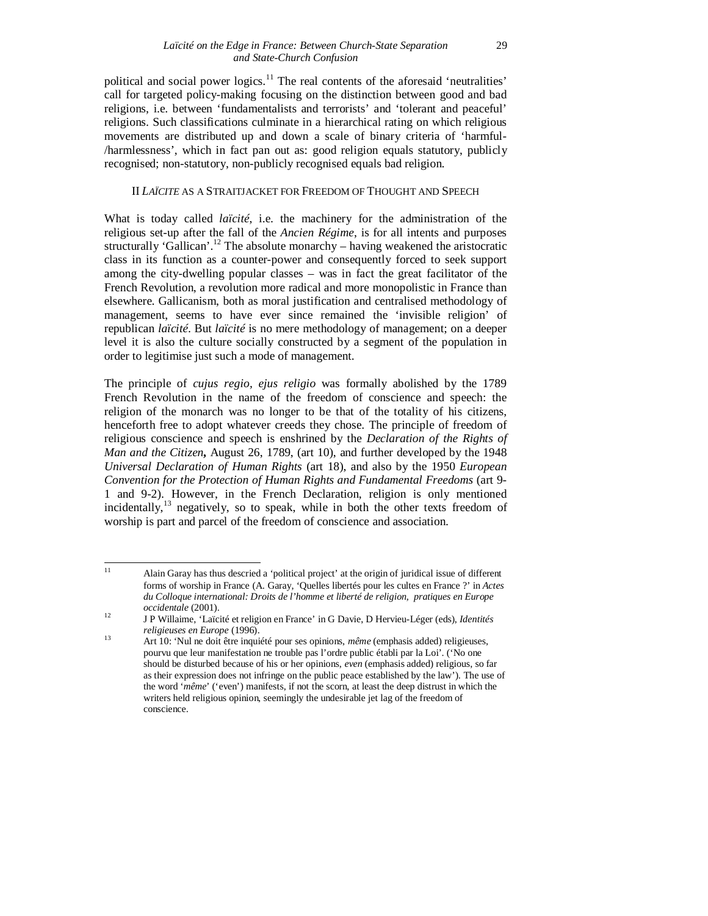political and social power logics.<sup>11</sup> The real contents of the aforesaid 'neutralities' call for targeted policy-making focusing on the distinction between good and bad religions, i.e. between 'fundamentalists and terrorists' and 'tolerant and peaceful' religions. Such classifications culminate in a hierarchical rating on which religious movements are distributed up and down a scale of binary criteria of 'harmful- /harmlessness', which in fact pan out as: good religion equals statutory, publicly recognised; non-statutory, non-publicly recognised equals bad religion.

### II *LAÏCITE* AS A STRAITJACKET FOR FREEDOM OF THOUGHT AND SPEECH

What is today called *laïcité*, i.e. the machinery for the administration of the religious set-up after the fall of the *Ancien Régime*, is for all intents and purposes structurally 'Gallican'.<sup>12</sup> The absolute monarchy – having weakened the aristocratic class in its function as a counter-power and consequently forced to seek support among the city-dwelling popular classes – was in fact the great facilitator of the French Revolution, a revolution more radical and more monopolistic in France than elsewhere. Gallicanism, both as moral justification and centralised methodology of management, seems to have ever since remained the 'invisible religion' of republican *laïcité*. But *laïcité* is no mere methodology of management; on a deeper level it is also the culture socially constructed by a segment of the population in order to legitimise just such a mode of management.

The principle of *cujus regio, ejus religio* was formally abolished by the 1789 French Revolution in the name of the freedom of conscience and speech: the religion of the monarch was no longer to be that of the totality of his citizens, henceforth free to adopt whatever creeds they chose. The principle of freedom of religious conscience and speech is enshrined by the *Declaration of the Rights of Man and the Citizen***,** August 26, 1789, (art 10), and further developed by the 1948 *Universal Declaration of Human Rights* (art 18), and also by the 1950 *European Convention for the Protection of Human Rights and Fundamental Freedoms* (art 9- 1 and 9-2). However, in the French Declaration, religion is only mentioned incidentally,<sup>13</sup> negatively, so to speak, while in both the other texts freedom of worship is part and parcel of the freedom of conscience and association.

 $11$ <sup>11</sup> Alain Garay has thus descried a 'political project' at the origin of juridical issue of different forms of worship in France (A. Garay, 'Quelles libertés pour les cultes en France ?' in *Actes du Colloque international: Droits de l'homme et liberté de religion, pratiques en Europe occidentale* (2001).

<sup>12</sup> J P Willaime, 'Laïcité et religion en France' in G Davie, D Hervieu-Léger (eds), *Identités religieuses en Europe* (1996).

<sup>13</sup> Art 10: 'Nul ne doit être inquiété pour ses opinions, *même* (emphasis added) religieuses, pourvu que leur manifestation ne trouble pas l'ordre public établi par la Loi'. ('No one should be disturbed because of his or her opinions, *even* (emphasis added) religious, so far as their expression does not infringe on the public peace established by the law'). The use of the word '*même*' ('even') manifests, if not the scorn, at least the deep distrust in which the writers held religious opinion, seemingly the undesirable jet lag of the freedom of conscience.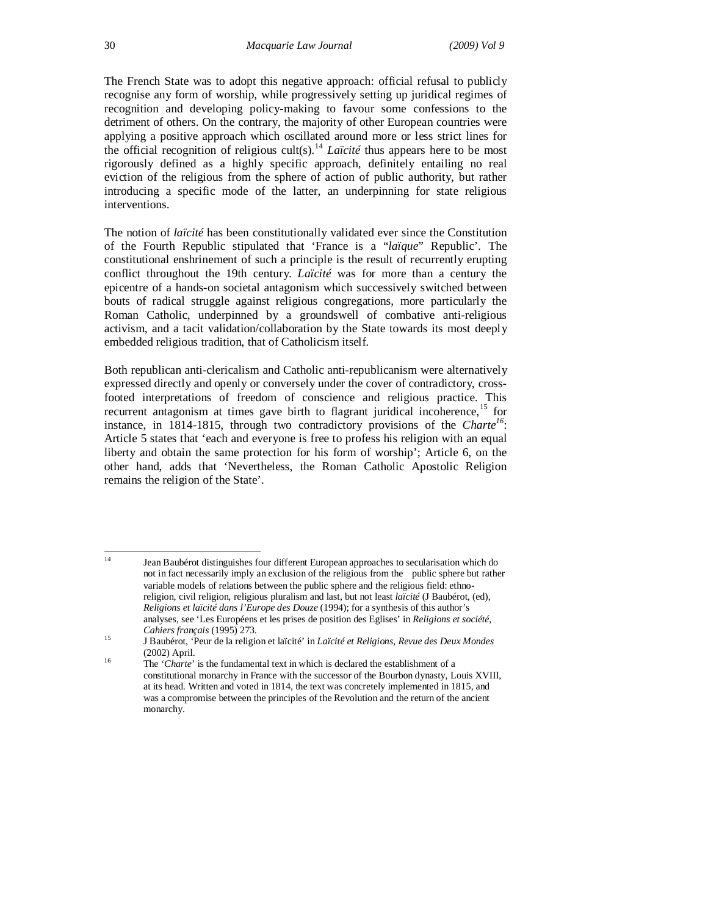The French State was to adopt this negative approach: official refusal to publicly recognise any form of worship, while progressively setting up juridical regimes of recognition and developing policy-making to favour some confessions to the detriment of others. On the contrary, the majority of other European countries were applying a positive approach which oscillated around more or less strict lines for the official recognition of religious cult(s). <sup>14</sup> *Laïcité* thus appears here to be most rigorously defined as a highly specific approach, definitely entailing no real eviction of the religious from the sphere of action of public authority, but rather introducing a specific mode of the latter, an underpinning for state religious interventions.

The notion of *laïcité* has been constitutionally validated ever since the Constitution of the Fourth Republic stipulated that 'France is a "*laïque*" Republic'. The constitutional enshrinement of such a principle is the result of recurrently erupting conflict throughout the 19th century. *Laïcité* was for more than a century the epicentre of a hands-on societal antagonism which successively switched between bouts of radical struggle against religious congregations, more particularly the Roman Catholic, underpinned by a groundswell of combative anti-religious activism, and a tacit validation/collaboration by the State towards its most deeply embedded religious tradition, that of Catholicism itself.

Both republican anti-clericalism and Catholic anti-republicanism were alternatively expressed directly and openly or conversely under the cover of contradictory, crossfooted interpretations of freedom of conscience and religious practice. This recurrent antagonism at times gave birth to flagrant juridical incoherence,<sup>15</sup> for instance, in 1814-1815, through two contradictory provisions of the *Charte<sup>16</sup>*: Article 5 states that 'each and everyone is free to profess his religion with an equal liberty and obtain the same protection for his form of worship'; Article 6, on the other hand, adds that 'Nevertheless, the Roman Catholic Apostolic Religion remains the religion of the State'.

 $14$ Jean Baubérot distinguishes four different European approaches to secularisation which do not in fact necessarily imply an exclusion of the religious from the public sphere but rather variable models of relations between the public sphere and the religious field: ethnoreligion, civil religion, religious pluralism and last, but not least *laïcité* (J Baubérot, (ed), *Religions et laïcité dans l'Europe des Douze* (1994); for a synthesis of this author's analyses, see 'Les Européens et les prises de position des Eglises' in *Religions et société*, *Cahiers français* (1995) 273.

<sup>15</sup> J Baubérot, 'Peur de la religion et laïcité' in *Laïcité et Religions, Revue des Deux Mondes* (2002) April.

<sup>&</sup>lt;sup>16</sup> The '*Charte*' is the fundamental text in which is declared the establishment of a constitutional monarchy in France with the successor of the Bourbon dynasty, Louis XVIII, at its head. Written and voted in 1814, the text was concretely implemented in 1815, and was a compromise between the principles of the Revolution and the return of the ancient monarchy.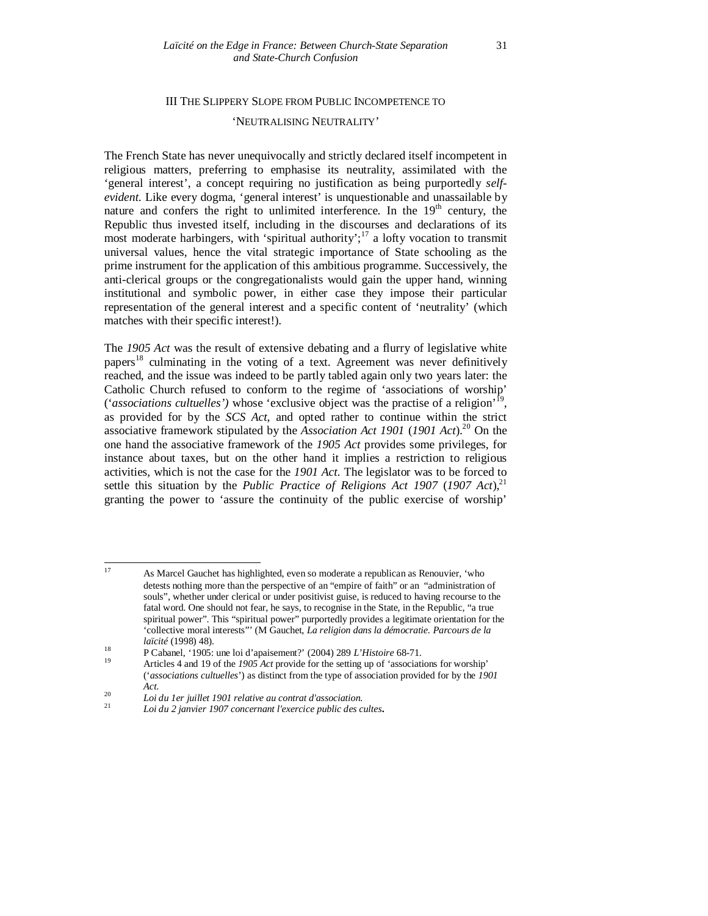# III THE SLIPPERY SLOPE FROM PUBLIC INCOMPETENCE TO

#### 'NEUTRALISING NEUTRALITY'

The French State has never unequivocally and strictly declared itself incompetent in religious matters, preferring to emphasise its neutrality, assimilated with the 'general interest', a concept requiring no justification as being purportedly *selfevident.* Like every dogma, 'general interest' is unquestionable and unassailable by nature and confers the right to unlimited interference. In the  $19<sup>th</sup>$  century, the Republic thus invested itself, including in the discourses and declarations of its most moderate harbingers, with 'spiritual authority';<sup>17</sup> a lofty vocation to transmit universal values, hence the vital strategic importance of State schooling as the prime instrument for the application of this ambitious programme. Successively, the anti-clerical groups or the congregationalists would gain the upper hand, winning institutional and symbolic power, in either case they impose their particular representation of the general interest and a specific content of 'neutrality' (which matches with their specific interest!).

The *1905 Act* was the result of extensive debating and a flurry of legislative white papers<sup>18</sup> culminating in the voting of a text. Agreement was never definitively reached, and the issue was indeed to be partly tabled again only two years later: the Catholic Church refused to conform to the regime of 'associations of worship' ('*associations cultuelles')* whose 'exclusive object was the practise of a religion' 19 , as provided for by the *SCS Act*, and opted rather to continue within the strict associative framework stipulated by the *Association Act 1901* (*1901 Act*). <sup>20</sup> On the one hand the associative framework of the *1905 Act* provides some privileges, for instance about taxes, but on the other hand it implies a restriction to religious activities, which is not the case for the *1901 Act*. The legislator was to be forced to settle this situation by the *Public Practice of Religions Act 1907* (*1907 Act*), 21 granting the power to 'assure the continuity of the public exercise of worship'

 $17$ <sup>17</sup> As Marcel Gauchet has highlighted, even so moderate a republican as Renouvier, 'who detests nothing more than the perspective of an "empire of faith" or an "administration of souls", whether under clerical or under positivist guise, is reduced to having recourse to the fatal word. One should not fear, he says, to recognise in the State, in the Republic, "a true spiritual power". This "spiritual power" purportedly provides a legitimate orientation for the 'collective moral interests"' (M Gauchet, *La religion dans la démocratie. Parcours de la laïcité* (1998) 48).

<sup>18</sup> P Cabanel, '1905: une loi d'apaisement?' (2004) 289 *L'Histoire* 68-71.

<sup>19</sup> Articles 4 and 19 of the *1905 Act* provide for the setting up of 'associations for worship' ('*associations cultuelles*') as distinct from the type of association provided for by the *1901 Act*.

<sup>20</sup> *Loi du 1er juillet 1901 relative au contrat d'association.*

<sup>21</sup> *Loi du 2 janvier 1907 concernant l'exercice public des cultes***.**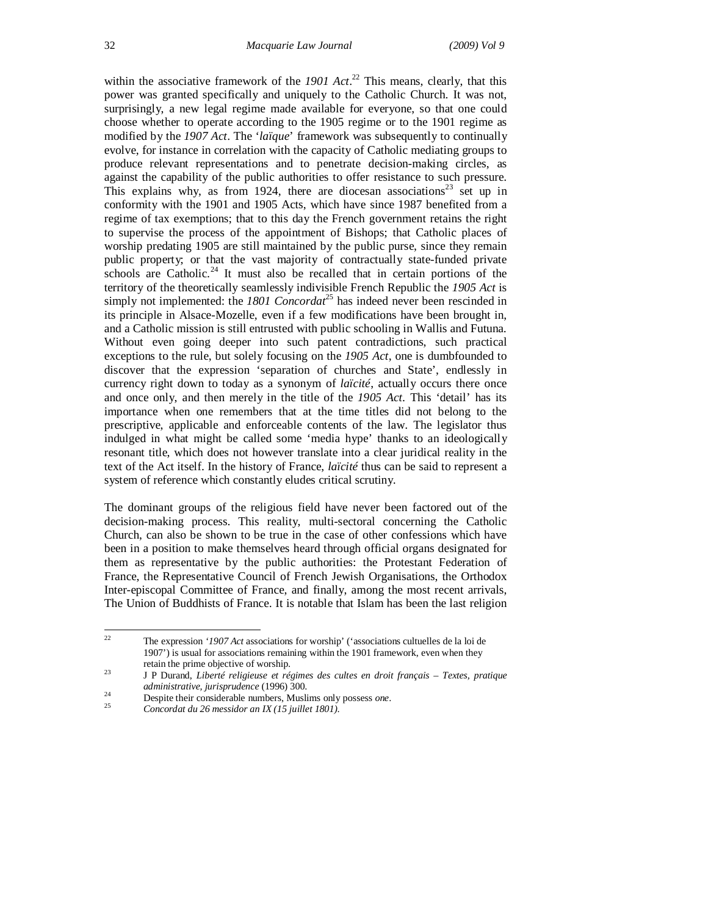within the associative framework of the 1901 Act.<sup>22</sup> This means, clearly, that this power was granted specifically and uniquely to the Catholic Church. It was not, surprisingly, a new legal regime made available for everyone, so that one could choose whether to operate according to the 1905 regime or to the 1901 regime as modified by the *1907 Act*. The '*laïque*' framework was subsequently to continually evolve, for instance in correlation with the capacity of Catholic mediating groups to produce relevant representations and to penetrate decision-making circles, as against the capability of the public authorities to offer resistance to such pressure. This explains why, as from 1924, there are diocesan associations<sup>23</sup> set up in conformity with the 1901 and 1905 Acts, which have since 1987 benefited from a regime of tax exemptions; that to this day the French government retains the right to supervise the process of the appointment of Bishops; that Catholic places of worship predating 1905 are still maintained by the public purse, since they remain public property; or that the vast majority of contractually state-funded private schools are Catholic.<sup>24</sup> It must also be recalled that in certain portions of the territory of the theoretically seamlessly indivisible French Republic the *1905 Act* is simply not implemented: the *1801 Concordat*<sup>25</sup> has indeed never been rescinded in its principle in Alsace-Mozelle, even if a few modifications have been brought in, and a Catholic mission is still entrusted with public schooling in Wallis and Futuna. Without even going deeper into such patent contradictions, such practical exceptions to the rule, but solely focusing on the *1905 Act*, one is dumbfounded to discover that the expression 'separation of churches and State', endlessly in currency right down to today as a synonym of *laïcité*, actually occurs there once and once only, and then merely in the title of the *1905 Act*. This 'detail' has its importance when one remembers that at the time titles did not belong to the prescriptive, applicable and enforceable contents of the law. The legislator thus indulged in what might be called some 'media hype' thanks to an ideologically resonant title, which does not however translate into a clear juridical reality in the text of the Act itself. In the history of France, *laïcité* thus can be said to represent a system of reference which constantly eludes critical scrutiny.

The dominant groups of the religious field have never been factored out of the decision-making process. This reality, multi-sectoral concerning the Catholic Church, can also be shown to be true in the case of other confessions which have been in a position to make themselves heard through official organs designated for them as representative by the public authorities: the Protestant Federation of France, the Representative Council of French Jewish Organisations, the Orthodox Inter-episcopal Committee of France, and finally, among the most recent arrivals, The Union of Buddhists of France. It is notable that Islam has been the last religion

 $22$ <sup>22</sup> The expression *'1907 Act* associations for worship' ('associations cultuelles de la loi de 1907') is usual for associations remaining within the 1901 framework, even when they retain the prime objective of worship.

<sup>23</sup> J P Durand, *Liberté religieuse et régimes des cultes en droit français – Textes, pratique administrative, jurisprudence* (1996) 300.

<sup>24</sup> Despite their considerable numbers, Muslims only possess *one*.

<sup>25</sup> *Concordat du 26 messidor an IX (15 juillet 1801)*.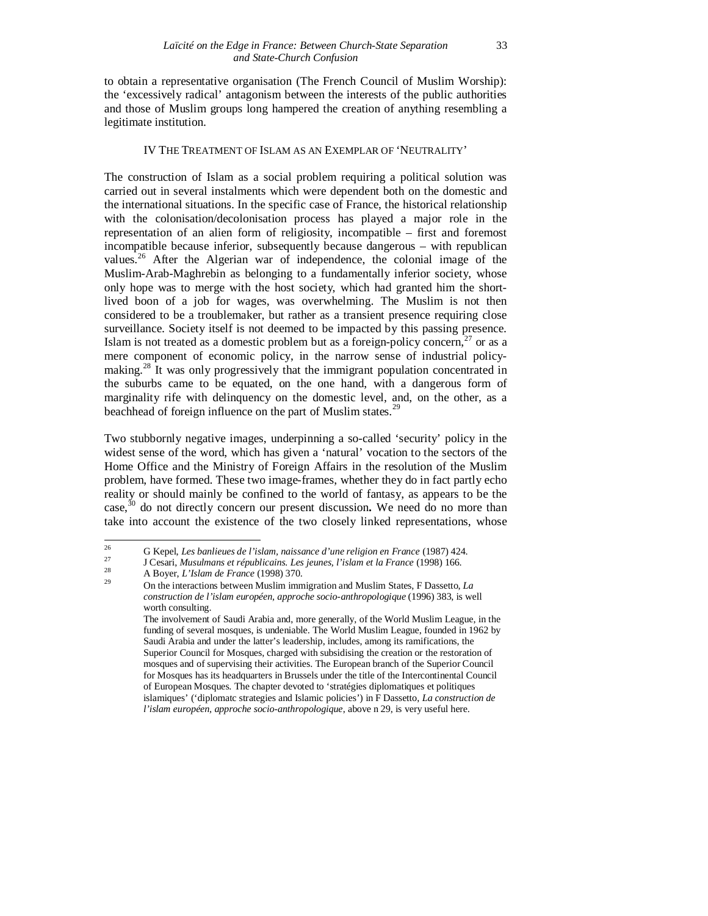to obtain a representative organisation (The French Council of Muslim Worship): the 'excessively radical' antagonism between the interests of the public authorities and those of Muslim groups long hampered the creation of anything resembling a legitimate institution.

#### IV THE TREATMENT OF ISLAM AS AN EXEMPLAR OF 'NEUTRALITY'

The construction of Islam as a social problem requiring a political solution was carried out in several instalments which were dependent both on the domestic and the international situations. In the specific case of France, the historical relationship with the colonisation/decolonisation process has played a major role in the representation of an alien form of religiosity, incompatible – first and foremost incompatible because inferior, subsequently because dangerous – with republican values.<sup>26</sup> After the Algerian war of independence, the colonial image of the Muslim-Arab-Maghrebin as belonging to a fundamentally inferior society, whose only hope was to merge with the host society, which had granted him the shortlived boon of a job for wages, was overwhelming. The Muslim is not then considered to be a troublemaker, but rather as a transient presence requiring close surveillance. Society itself is not deemed to be impacted by this passing presence. Islam is not treated as a domestic problem but as a foreign-policy concern,<sup>27</sup> or as a mere component of economic policy, in the narrow sense of industrial policymaking.<sup>28</sup> It was only progressively that the immigrant population concentrated in the suburbs came to be equated, on the one hand, with a dangerous form of marginality rife with delinquency on the domestic level, and, on the other, as a beachhead of foreign influence on the part of Muslim states.<sup>29</sup>

Two stubbornly negative images, underpinning a so-called 'security' policy in the widest sense of the word, which has given a 'natural' vocation to the sectors of the Home Office and the Ministry of Foreign Affairs in the resolution of the Muslim problem, have formed. These two image-frames, whether they do in fact partly echo reality or should mainly be confined to the world of fantasy, as appears to be the case, <sup>30</sup> do not directly concern our present discussion**.** We need do no more than take into account the existence of the two closely linked representations, whose

<sup>26</sup> <sup>26</sup> G Kepel, *Les banlieues de l'islam, naissance d'une religion en France* (1987) 424.

<sup>27</sup> J Cesari, *Musulmans et républicains. Les jeunes, l'islam et la France* (1998) 166.

<sup>28</sup> A Boyer, *L'Islam de France* (1998) 370.

<sup>29</sup> On the interactions between Muslim immigration and Muslim States, F Dassetto, *La construction de l'islam européen, approche socio-anthropologique* (1996) 383, is well worth consulting.

The involvement of Saudi Arabia and, more generally, of the World Muslim League, in the funding of several mosques, is undeniable. The World Muslim League, founded in 1962 by Saudi Arabia and under the latter's leadership, includes, among its ramifications, the Superior Council for Mosques, charged with subsidising the creation or the restoration of mosques and of supervising their activities. The European branch of the Superior Council for Mosques has its headquarters in Brussels under the title of the Intercontinental Council of European Mosques. The chapter devoted to 'stratégies diplomatiques et politiques islamiques' ('diplomatc strategies and Islamic policies') in F Dassetto, *La construction de l'islam européen, approche socio-anthropologique*, above n 29, is very useful here.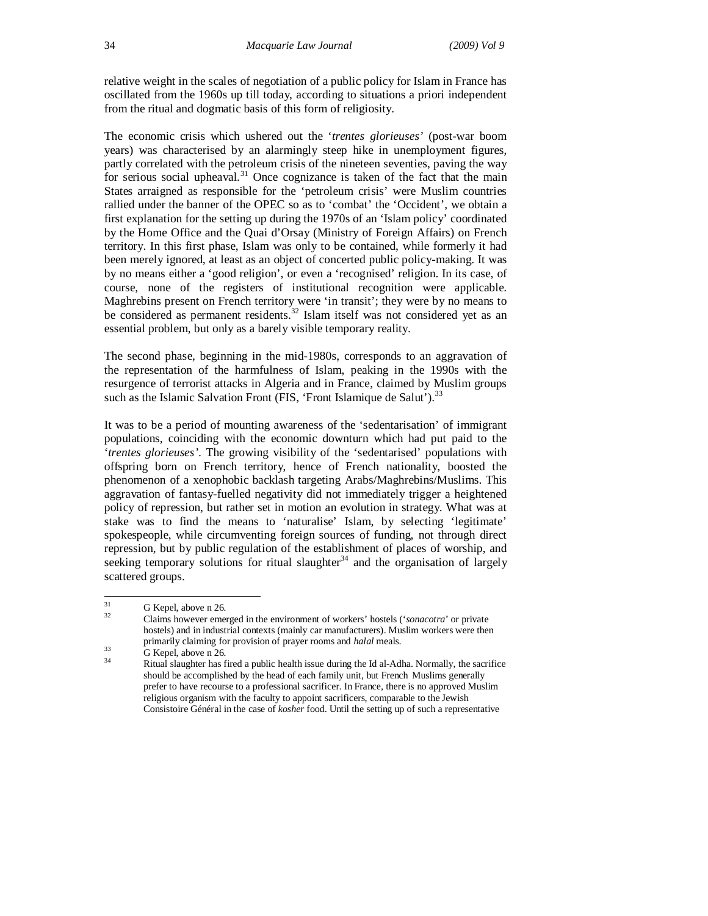relative weight in the scales of negotiation of a public policy for Islam in France has oscillated from the 1960s up till today, according to situations a priori independent from the ritual and dogmatic basis of this form of religiosity.

The economic crisis which ushered out the '*trentes glorieuses'* (post-war boom years) was characterised by an alarmingly steep hike in unemployment figures, partly correlated with the petroleum crisis of the nineteen seventies, paving the way for serious social upheaval.<sup>31</sup> Once cognizance is taken of the fact that the main States arraigned as responsible for the 'petroleum crisis' were Muslim countries rallied under the banner of the OPEC so as to 'combat' the 'Occident', we obtain a first explanation for the setting up during the 1970s of an 'Islam policy' coordinated by the Home Office and the Quai d'Orsay (Ministry of Foreign Affairs) on French territory. In this first phase, Islam was only to be contained, while formerly it had been merely ignored, at least as an object of concerted public policy-making. It was by no means either a 'good religion', or even a 'recognised' religion. In its case, of course, none of the registers of institutional recognition were applicable. Maghrebins present on French territory were 'in transit'; they were by no means to be considered as permanent residents.<sup>32</sup> Islam itself was not considered yet as an essential problem, but only as a barely visible temporary reality.

The second phase, beginning in the mid-1980s, corresponds to an aggravation of the representation of the harmfulness of Islam, peaking in the 1990s with the resurgence of terrorist attacks in Algeria and in France, claimed by Muslim groups such as the Islamic Salvation Front (FIS, 'Front Islamique de Salut').<sup>33</sup>

It was to be a period of mounting awareness of the 'sedentarisation' of immigrant populations, coinciding with the economic downturn which had put paid to the '*trentes glorieuses'*. The growing visibility of the 'sedentarised' populations with offspring born on French territory, hence of French nationality, boosted the phenomenon of a xenophobic backlash targeting Arabs/Maghrebins/Muslims. This aggravation of fantasy-fuelled negativity did not immediately trigger a heightened policy of repression, but rather set in motion an evolution in strategy. What was at stake was to find the means to 'naturalise' Islam, by selecting 'legitimate' spokespeople, while circumventing foreign sources of funding, not through direct repression, but by public regulation of the establishment of places of worship, and seeking temporary solutions for ritual slaughter<sup>34</sup> and the organisation of largely scattered groups.

 $31$  $rac{31}{32}$  G Kepel, above n 26*.* 

<sup>32</sup> Claims however emerged in the environment of workers' hostels ('*sonacotra*' or private hostels) and in industrial contexts (mainly car manufacturers). Muslim workers were then primarily claiming for provision of prayer rooms and *halal* meals.

 $\frac{33}{34}$  G Kepel, above n 26.

<sup>34</sup> Ritual slaughter has fired a public health issue during the Id al-Adha. Normally, the sacrifice should be accomplished by the head of each family unit, but French Muslims generally prefer to have recourse to a professional sacrificer. In France, there is no approved Muslim religious organism with the faculty to appoint sacrificers, comparable to the Jewish Consistoire Général in the case of *kosher* food. Until the setting up of such a representative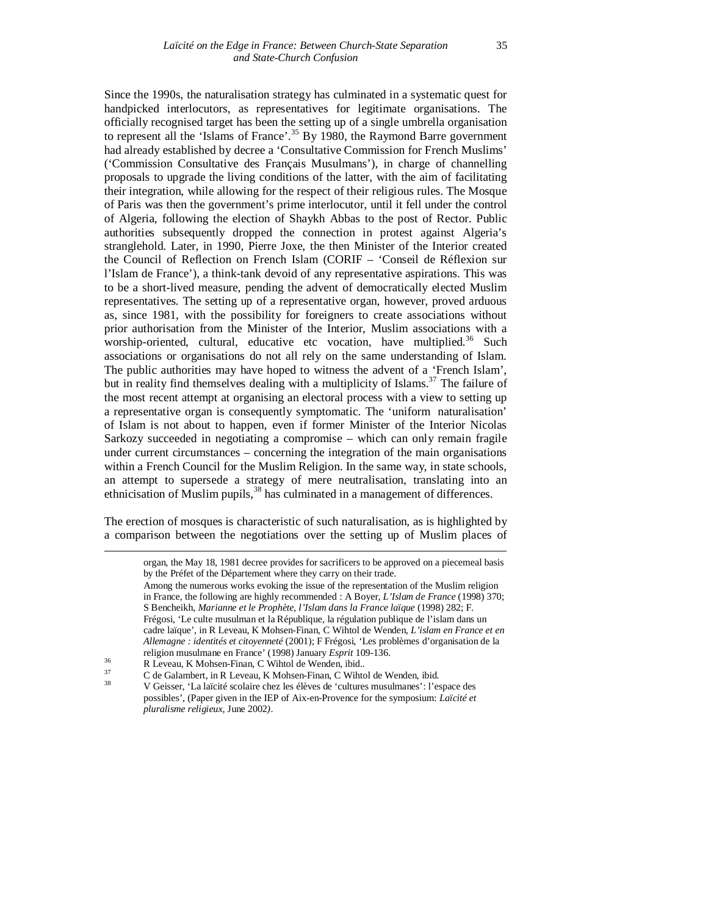Since the 1990s, the naturalisation strategy has culminated in a systematic quest for handpicked interlocutors, as representatives for legitimate organisations. The officially recognised target has been the setting up of a single umbrella organisation to represent all the 'Islams of France'.<sup>35</sup> By 1980, the Raymond Barre government had already established by decree a 'Consultative Commission for French Muslims' ('Commission Consultative des Français Musulmans'), in charge of channelling proposals to upgrade the living conditions of the latter, with the aim of facilitating their integration, while allowing for the respect of their religious rules. The Mosque of Paris was then the government's prime interlocutor, until it fell under the control of Algeria, following the election of Shaykh Abbas to the post of Rector. Public authorities subsequently dropped the connection in protest against Algeria's stranglehold. Later, in 1990, Pierre Joxe, the then Minister of the Interior created the Council of Reflection on French Islam (CORIF – 'Conseil de Réflexion sur l'Islam de France'), a think-tank devoid of any representative aspirations. This was to be a short-lived measure, pending the advent of democratically elected Muslim representatives. The setting up of a representative organ, however, proved arduous as, since 1981, with the possibility for foreigners to create associations without prior authorisation from the Minister of the Interior, Muslim associations with a worship-oriented, cultural, educative etc vocation, have multiplied.<sup>36</sup> Such associations or organisations do not all rely on the same understanding of Islam. The public authorities may have hoped to witness the advent of a 'French Islam', but in reality find themselves dealing with a multiplicity of Islams.<sup>37</sup> The failure of the most recent attempt at organising an electoral process with a view to setting up a representative organ is consequently symptomatic. The 'uniform naturalisation' of Islam is not about to happen, even if former Minister of the Interior Nicolas Sarkozy succeeded in negotiating a compromise – which can only remain fragile under current circumstances – concerning the integration of the main organisations within a French Council for the Muslim Religion. In the same way, in state schools, an attempt to supersede a strategy of mere neutralisation, translating into an ethnicisation of Muslim pupils,<sup>38</sup> has culminated in a management of differences.

The erection of mosques is characteristic of such naturalisation, as is highlighted by a comparison between the negotiations over the setting up of Muslim places of

1

organ, the May 18, 1981 decree provides for sacrificers to be approved on a piecemeal basis by the Préfet of the Département where they carry on their trade. Among the numerous works evoking the issue of the representation of the Muslim religion in France, the following are highly recommended : A Boyer, *L'Islam de France* (1998) 370; S Bencheikh, *Marianne et le Prophète, l'Islam dans la France laïque* (1998) 282; F. Frégosi, 'Le culte musulman et la République, la régulation publique de l'islam dans un cadre laïque', in R Leveau, K Mohsen-Finan, C Wihtol de Wenden, *L'islam en France et en Allemagne : identités et citoyenneté* (2001); F Frégosi, *'*Les problèmes d'organisation de la

religion musulmane en France' (1998) January *Esprit* 109-136.

<sup>36</sup> R Leveau, K Mohsen-Finan, C Wihtol de Wenden, ibid.*.*

<sup>37</sup> C de Galambert, in R Leveau, K Mohsen-Finan, C Wihtol de Wenden, ibid*.* <sup>38</sup> V Geisser, 'La laïcité scolaire chez les élèves de 'cultures musulmanes': l'espace des possibles', (Paper given in the IEP of Aix-en-Provence for the symposium: *Laïcité et pluralisme religieux,* June 2002*)*.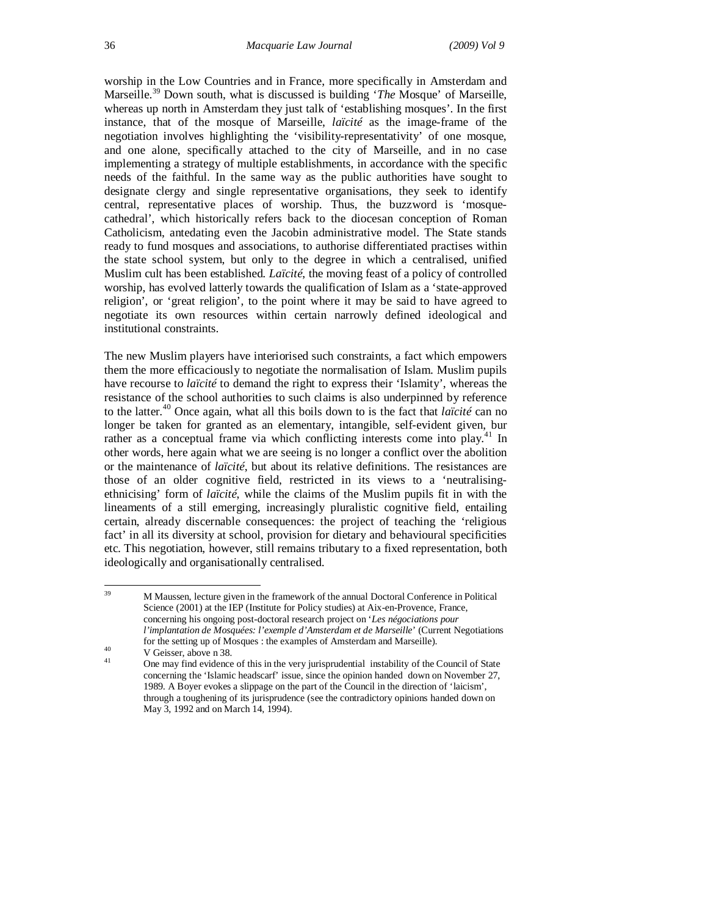worship in the Low Countries and in France, more specifically in Amsterdam and Marseille.<sup>39</sup> Down south, what is discussed is building '*The* Mosque' of Marseille, whereas up north in Amsterdam they just talk of 'establishing mosques'. In the first instance, that of the mosque of Marseille, *laïcité* as the image-frame of the negotiation involves highlighting the 'visibility-representativity' of one mosque, and one alone, specifically attached to the city of Marseille, and in no case implementing a strategy of multiple establishments, in accordance with the specific needs of the faithful. In the same way as the public authorities have sought to designate clergy and single representative organisations, they seek to identify central, representative places of worship. Thus, the buzzword is 'mosquecathedral', which historically refers back to the diocesan conception of Roman Catholicism, antedating even the Jacobin administrative model. The State stands ready to fund mosques and associations, to authorise differentiated practises within the state school system, but only to the degree in which a centralised, unified Muslim cult has been established. *Laïcité*, the moving feast of a policy of controlled worship, has evolved latterly towards the qualification of Islam as a 'state-approved religion', or 'great religion', to the point where it may be said to have agreed to negotiate its own resources within certain narrowly defined ideological and institutional constraints.

The new Muslim players have interiorised such constraints, a fact which empowers them the more efficaciously to negotiate the normalisation of Islam. Muslim pupils have recourse to *laïcité* to demand the right to express their 'Islamity', whereas the resistance of the school authorities to such claims is also underpinned by reference to the latter.<sup>40</sup> Once again, what all this boils down to is the fact that *laïcité* can no longer be taken for granted as an elementary, intangible, self-evident given, bur rather as a conceptual frame via which conflicting interests come into play.<sup>41</sup> In other words, here again what we are seeing is no longer a conflict over the abolition or the maintenance of *laïcité*, but about its relative definitions. The resistances are those of an older cognitive field, restricted in its views to a 'neutralisingethnicising' form of *laïcité*, while the claims of the Muslim pupils fit in with the lineaments of a still emerging, increasingly pluralistic cognitive field, entailing certain, already discernable consequences: the project of teaching the 'religious fact' in all its diversity at school, provision for dietary and behavioural specificities etc. This negotiation, however, still remains tributary to a fixed representation, both ideologically and organisationally centralised.

<sup>39</sup> <sup>39</sup> M Maussen, lecture given in the framework of the annual Doctoral Conference in Political Science (2001) at the IEP (Institute for Policy studies) at Aix-en-Provence, France, concerning his ongoing post-doctoral research project on '*Les négociations pour l'implantation de Mosquées: l'exemple d'Amsterdam et de Marseille*' (Current Negotiations for the setting up of Mosques : the examples of Amsterdam and Marseille).

<sup>40</sup> V Geisser, above n 38*.*

One may find evidence of this in the very jurisprudential instability of the Council of State concerning the 'Islamic headscarf' issue, since the opinion handed down on November 27, 1989. A Boyer evokes a slippage on the part of the Council in the direction of 'laicism', through a toughening of its jurisprudence (see the contradictory opinions handed down on May 3, 1992 and on March 14, 1994).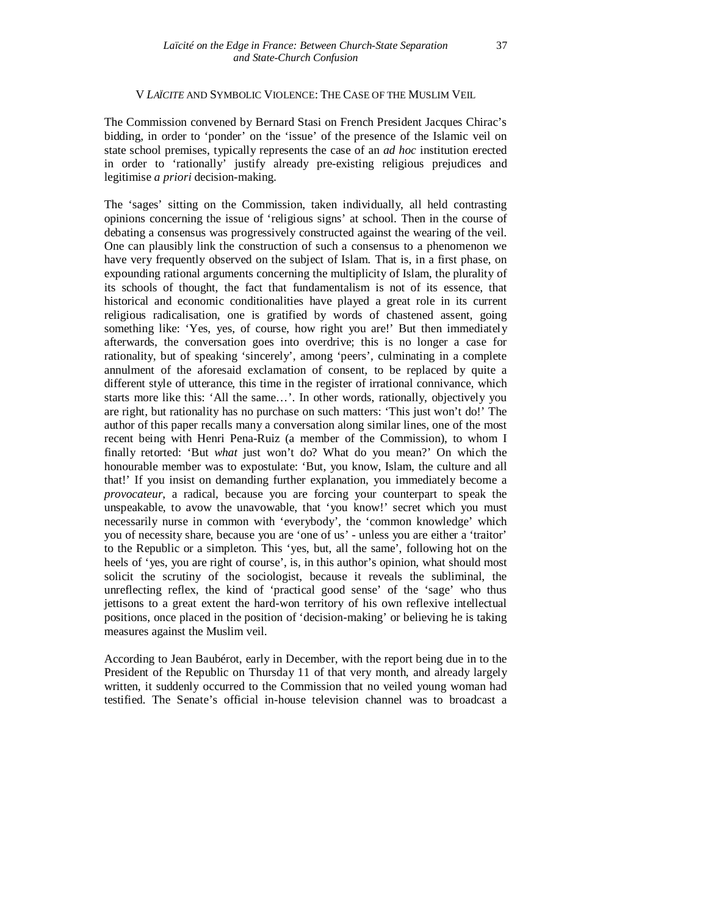#### V *LAÏCITE* AND SYMBOLIC VIOLENCE: THE CASE OF THE MUSLIM VEIL

The Commission convened by Bernard Stasi on French President Jacques Chirac's bidding, in order to 'ponder' on the 'issue' of the presence of the Islamic veil on state school premises, typically represents the case of an *ad hoc* institution erected in order to 'rationally' justify already pre-existing religious prejudices and legitimise *a priori* decision-making.

The 'sages' sitting on the Commission, taken individually, all held contrasting opinions concerning the issue of 'religious signs' at school. Then in the course of debating a consensus was progressively constructed against the wearing of the veil. One can plausibly link the construction of such a consensus to a phenomenon we have very frequently observed on the subject of Islam. That is, in a first phase, on expounding rational arguments concerning the multiplicity of Islam, the plurality of its schools of thought, the fact that fundamentalism is not of its essence, that historical and economic conditionalities have played a great role in its current religious radicalisation, one is gratified by words of chastened assent, going something like: 'Yes, yes, of course, how right you are!' But then immediately afterwards, the conversation goes into overdrive; this is no longer a case for rationality, but of speaking 'sincerely', among 'peers', culminating in a complete annulment of the aforesaid exclamation of consent, to be replaced by quite a different style of utterance, this time in the register of irrational connivance, which starts more like this: 'All the same…'. In other words, rationally, objectively you are right, but rationality has no purchase on such matters: 'This just won't do!' The author of this paper recalls many a conversation along similar lines, one of the most recent being with Henri Pena-Ruiz (a member of the Commission), to whom I finally retorted: 'But *what* just won't do? What do you mean?' On which the honourable member was to expostulate: 'But, you know, Islam, the culture and all that!' If you insist on demanding further explanation, you immediately become a *provocateur*, a radical, because you are forcing your counterpart to speak the unspeakable, to avow the unavowable, that 'you know!' secret which you must necessarily nurse in common with 'everybody', the 'common knowledge' which you of necessity share, because you are 'one of us' - unless you are either a 'traitor' to the Republic or a simpleton. This 'yes, but, all the same', following hot on the heels of 'yes, you are right of course', is, in this author's opinion, what should most solicit the scrutiny of the sociologist, because it reveals the subliminal, the unreflecting reflex, the kind of 'practical good sense' of the 'sage' who thus jettisons to a great extent the hard-won territory of his own reflexive intellectual positions, once placed in the position of 'decision-making' or believing he is taking measures against the Muslim veil.

According to Jean Baubérot, early in December, with the report being due in to the President of the Republic on Thursday 11 of that very month, and already largely written, it suddenly occurred to the Commission that no veiled young woman had testified. The Senate's official in-house television channel was to broadcast a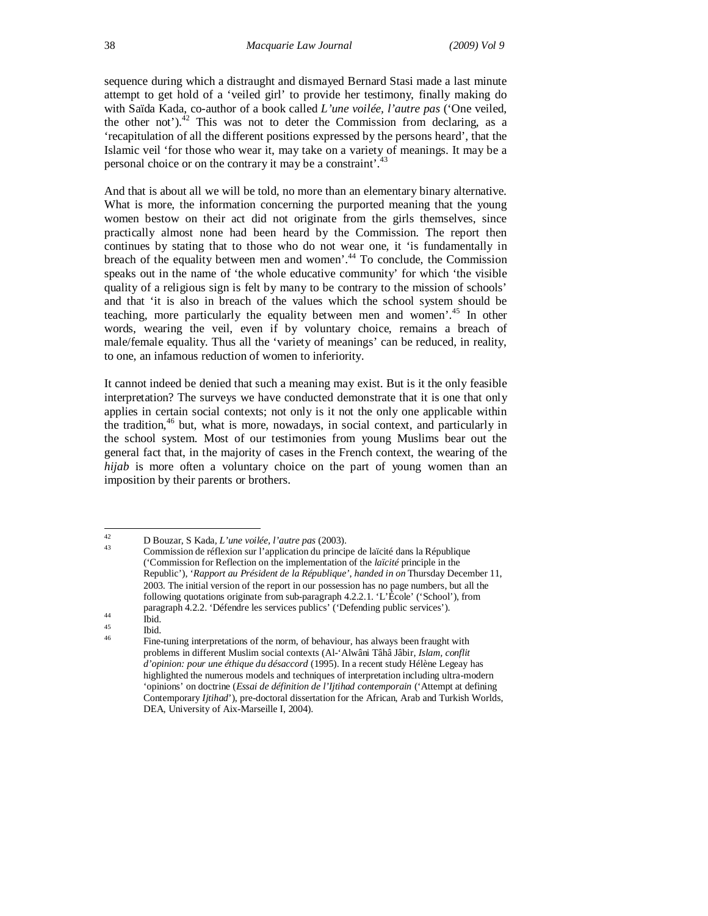sequence during which a distraught and dismayed Bernard Stasi made a last minute attempt to get hold of a 'veiled girl' to provide her testimony, finally making do with Saïda Kada, co-author of a book called *L'une voilée, l'autre pas* ('One veiled, the other not').<sup>42</sup> This was not to deter the Commission from declaring, as a 'recapitulation of all the different positions expressed by the persons heard', that the Islamic veil 'for those who wear it, may take on a variety of meanings. It may be a personal choice or on the contrary it may be a constraint'.

And that is about all we will be told, no more than an elementary binary alternative. What is more, the information concerning the purported meaning that the young women bestow on their act did not originate from the girls themselves, since practically almost none had been heard by the Commission. The report then continues by stating that to those who do not wear one, it 'is fundamentally in breach of the equality between men and women'.<sup>44</sup> To conclude, the Commission speaks out in the name of 'the whole educative community' for which 'the visible quality of a religious sign is felt by many to be contrary to the mission of schools' and that 'it is also in breach of the values which the school system should be teaching, more particularly the equality between men and women'.<sup>45</sup> In other words, wearing the veil, even if by voluntary choice, remains a breach of male/female equality. Thus all the 'variety of meanings' can be reduced, in reality, to one, an infamous reduction of women to inferiority.

It cannot indeed be denied that such a meaning may exist. But is it the only feasible interpretation? The surveys we have conducted demonstrate that it is one that only applies in certain social contexts; not only is it not the only one applicable within the tradition, <sup>46</sup> but, what is more, nowadays, in social context, and particularly in the school system. Most of our testimonies from young Muslims bear out the general fact that, in the majority of cases in the French context, the wearing of the *hijab* is more often a voluntary choice on the part of young women than an imposition by their parents or brothers.

 $42$ <sup>42</sup> D Bouzar, S Kada*, L'une voilée, l'autre pas* (2003).

<sup>43</sup> Commission de réflexion sur l'application du principe de laïcité dans la République ('Commission for Reflection on the implementation of the *laïcité* principle in the Republic'), '*Rapport au Président de la République', handed in on* Thursday December 11, 2003. The initial version of the report in our possession has no page numbers, but all the following quotations originate from sub-paragraph 4.2.2.1. 'L'École' ('School'), from paragraph 4.2.2. 'Défendre les services publics' ('Defending public services').

 $\begin{array}{cc}\n\text{44} & \text{field.} \\
\text{45} & \text{Bid.}\n\end{array}$ 

 $\frac{45}{46}$  Ibid. Fine-tuning interpretations of the norm, of behaviour, has always been fraught with problems in different Muslim social contexts (Al-'Alwâni Tâhâ Jâbir, *Islam, conflit d'opinion: pour une éthique du désaccord* (1995). In a recent study Hélène Legeay has highlighted the numerous models and techniques of interpretation including ultra-modern 'opinions' on doctrine (*Essai de définition de l'Ijtihad contemporain* ('Attempt at defining Contemporary *Ijtihad*'), pre-doctoral dissertation for the African, Arab and Turkish Worlds, DEA, University of Aix-Marseille I, 2004).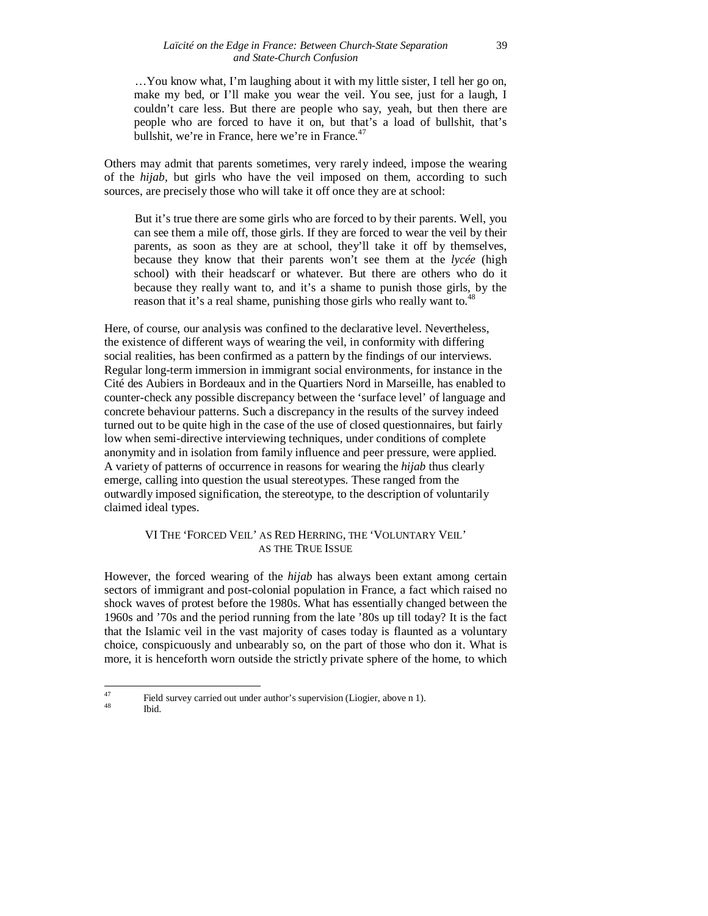…You know what, I'm laughing about it with my little sister, I tell her go on, make my bed, or I'll make you wear the veil. You see, just for a laugh, I couldn't care less. But there are people who say, yeah, but then there are people who are forced to have it on, but that's a load of bullshit, that's bullshit, we're in France, here we're in France. $47$ 

Others may admit that parents sometimes, very rarely indeed, impose the wearing of the *hijab*, but girls who have the veil imposed on them, according to such sources, are precisely those who will take it off once they are at school:

But it's true there are some girls who are forced to by their parents. Well, you can see them a mile off, those girls. If they are forced to wear the veil by their parents, as soon as they are at school, they'll take it off by themselves, because they know that their parents won't see them at the *lycée* (high school) with their headscarf or whatever. But there are others who do it because they really want to, and it's a shame to punish those girls, by the reason that it's a real shame, punishing those girls who really want to.<sup>48</sup>

Here, of course, our analysis was confined to the declarative level. Nevertheless, the existence of different ways of wearing the veil, in conformity with differing social realities, has been confirmed as a pattern by the findings of our interviews. Regular long-term immersion in immigrant social environments, for instance in the Cité des Aubiers in Bordeaux and in the Quartiers Nord in Marseille, has enabled to counter-check any possible discrepancy between the 'surface level' of language and concrete behaviour patterns. Such a discrepancy in the results of the survey indeed turned out to be quite high in the case of the use of closed questionnaires, but fairly low when semi-directive interviewing techniques, under conditions of complete anonymity and in isolation from family influence and peer pressure, were applied. A variety of patterns of occurrence in reasons for wearing the *hijab* thus clearly emerge, calling into question the usual stereotypes. These ranged from the outwardly imposed signification, the stereotype, to the description of voluntarily claimed ideal types.

#### VI THE 'FORCED VEIL' AS RED HERRING, THE 'VOLUNTARY VEIL' AS THE TRUE ISSUE

However, the forced wearing of the *hijab* has always been extant among certain sectors of immigrant and post-colonial population in France, a fact which raised no shock waves of protest before the 1980s. What has essentially changed between the 1960s and '70s and the period running from the late '80s up till today? It is the fact that the Islamic veil in the vast majority of cases today is flaunted as a voluntary choice, conspicuously and unbearably so, on the part of those who don it. What is more, it is henceforth worn outside the strictly private sphere of the home, to which

<sup>48</sup> Ibid.

<sup>47</sup> <sup>47</sup> Field survey carried out under author's supervision (Liogier, above n 1).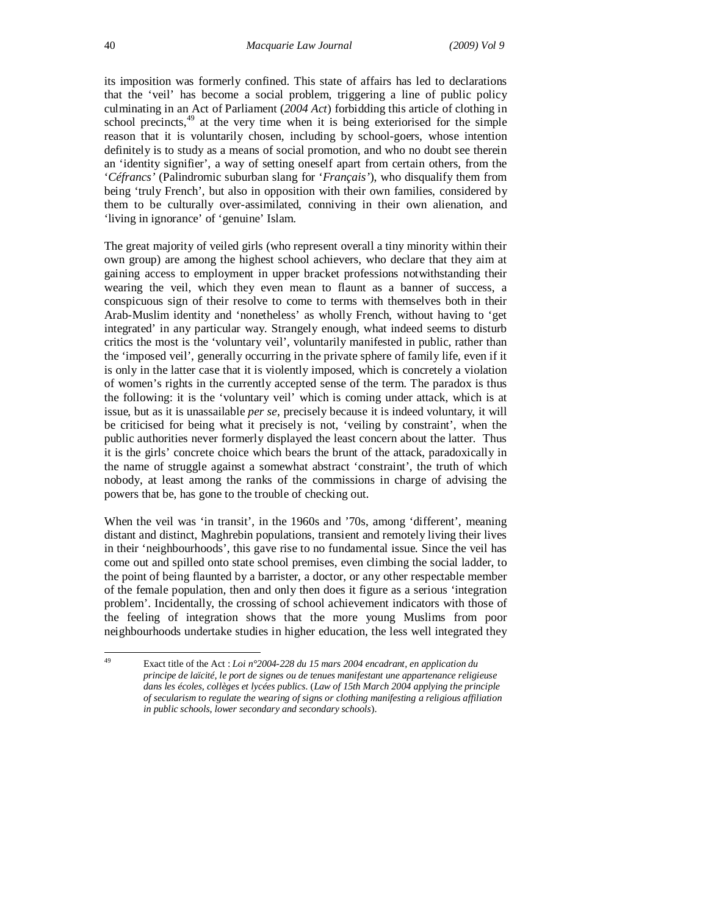its imposition was formerly confined. This state of affairs has led to declarations that the 'veil' has become a social problem, triggering a line of public policy culminating in an Act of Parliament (*2004 Act*) forbidding this article of clothing in school precincts,<sup>49</sup> at the very time when it is being exteriorised for the simple reason that it is voluntarily chosen, including by school-goers, whose intention definitely is to study as a means of social promotion, and who no doubt see therein an 'identity signifier', a way of setting oneself apart from certain others, from the '*Céfrancs'* (Palindromic suburban slang for '*Français'*), who disqualify them from being 'truly French', but also in opposition with their own families, considered by them to be culturally over-assimilated, conniving in their own alienation, and 'living in ignorance' of 'genuine' Islam.

The great majority of veiled girls (who represent overall a tiny minority within their own group) are among the highest school achievers, who declare that they aim at gaining access to employment in upper bracket professions notwithstanding their wearing the veil, which they even mean to flaunt as a banner of success, a conspicuous sign of their resolve to come to terms with themselves both in their Arab-Muslim identity and 'nonetheless' as wholly French, without having to 'get integrated' in any particular way. Strangely enough, what indeed seems to disturb critics the most is the 'voluntary veil', voluntarily manifested in public, rather than the 'imposed veil', generally occurring in the private sphere of family life, even if it is only in the latter case that it is violently imposed, which is concretely a violation of women's rights in the currently accepted sense of the term. The paradox is thus the following: it is the 'voluntary veil' which is coming under attack, which is at issue, but as it is unassailable *per se*, precisely because it is indeed voluntary, it will be criticised for being what it precisely is not, 'veiling by constraint', when the public authorities never formerly displayed the least concern about the latter. Thus it is the girls' concrete choice which bears the brunt of the attack, paradoxically in the name of struggle against a somewhat abstract 'constraint', the truth of which nobody, at least among the ranks of the commissions in charge of advising the powers that be, has gone to the trouble of checking out.

When the veil was 'in transit', in the 1960s and '70s, among 'different', meaning distant and distinct, Maghrebin populations, transient and remotely living their lives in their 'neighbourhoods', this gave rise to no fundamental issue. Since the veil has come out and spilled onto state school premises, even climbing the social ladder, to the point of being flaunted by a barrister, a doctor, or any other respectable member of the female population, then and only then does it figure as a serious 'integration problem'. Incidentally, the crossing of school achievement indicators with those of the feeling of integration shows that the more young Muslims from poor neighbourhoods undertake studies in higher education, the less well integrated they

<sup>49</sup> <sup>49</sup> Exact title of the Act : *Loi n°2004-228 du 15 mars 2004 encadrant, en application du principe de laïcité, le port de signes ou de tenues manifestant une appartenance religieuse dans les écoles, collèges et lycées publics.* (*Law of 15th March 2004 applying the principle of secularism to regulate the wearing of signs or clothing manifesting a religious affiliation in public schools, lower secondary and secondary schools*).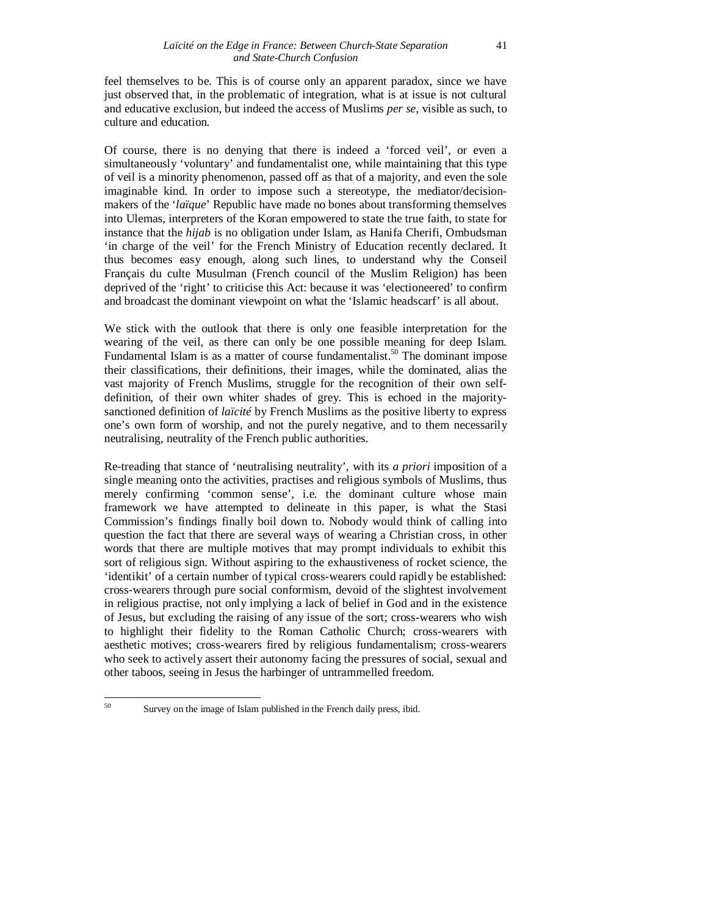feel themselves to be. This is of course only an apparent paradox, since we have just observed that, in the problematic of integration, what is at issue is not cultural and educative exclusion, but indeed the access of Muslims *per se*, visible as such, to culture and education.

Of course, there is no denying that there is indeed a 'forced veil', or even a simultaneously 'voluntary' and fundamentalist one, while maintaining that this type of veil is a minority phenomenon, passed off as that of a majority, and even the sole imaginable kind. In order to impose such a stereotype, the mediator/decisionmakers of the '*laïque*' Republic have made no bones about transforming themselves into Ulemas, interpreters of the Koran empowered to state the true faith, to state for instance that the *hijab* is no obligation under Islam, as Hanifa Cherifi, Ombudsman 'in charge of the veil' for the French Ministry of Education recently declared. It thus becomes easy enough, along such lines, to understand why the Conseil Français du culte Musulman (French council of the Muslim Religion) has been deprived of the 'right' to criticise this Act: because it was 'electioneered' to confirm and broadcast the dominant viewpoint on what the 'Islamic headscarf' is all about.

We stick with the outlook that there is only one feasible interpretation for the wearing of the veil, as there can only be one possible meaning for deep Islam. Fundamental Islam is as a matter of course fundamentalist.<sup>50</sup> The dominant impose their classifications, their definitions, their images, while the dominated, alias the vast majority of French Muslims, struggle for the recognition of their own selfdefinition, of their own whiter shades of grey. This is echoed in the majoritysanctioned definition of *laïcité* by French Muslims as the positive liberty to express one's own form of worship, and not the purely negative, and to them necessarily neutralising, neutrality of the French public authorities.

Re-treading that stance of 'neutralising neutrality', with its *a priori* imposition of a single meaning onto the activities, practises and religious symbols of Muslims, thus merely confirming 'common sense', i.e. the dominant culture whose main framework we have attempted to delineate in this paper, is what the Stasi Commission's findings finally boil down to. Nobody would think of calling into question the fact that there are several ways of wearing a Christian cross, in other words that there are multiple motives that may prompt individuals to exhibit this sort of religious sign. Without aspiring to the exhaustiveness of rocket science, the 'identikit' of a certain number of typical cross-wearers could rapidly be established: cross-wearers through pure social conformism, devoid of the slightest involvement in religious practise, not only implying a lack of belief in God and in the existence of Jesus, but excluding the raising of any issue of the sort; cross-wearers who wish to highlight their fidelity to the Roman Catholic Church; cross-wearers with aesthetic motives; cross-wearers fired by religious fundamentalism; cross-wearers who seek to actively assert their autonomy facing the pressures of social, sexual and other taboos, seeing in Jesus the harbinger of untrammelled freedom.

50

Survey on the image of Islam published in the French daily press, ibid.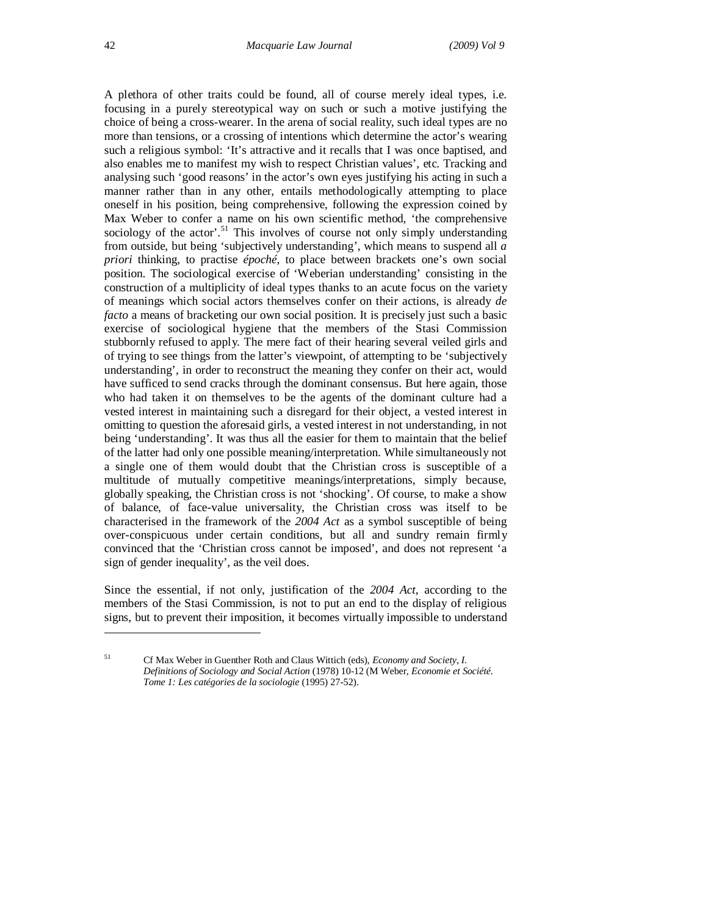A plethora of other traits could be found, all of course merely ideal types, i.e. focusing in a purely stereotypical way on such or such a motive justifying the choice of being a cross-wearer. In the arena of social reality, such ideal types are no more than tensions, or a crossing of intentions which determine the actor's wearing such a religious symbol: 'It's attractive and it recalls that I was once baptised, and also enables me to manifest my wish to respect Christian values', etc. Tracking and analysing such 'good reasons' in the actor's own eyes justifying his acting in such a manner rather than in any other, entails methodologically attempting to place oneself in his position, being comprehensive, following the expression coined by Max Weber to confer a name on his own scientific method, 'the comprehensive sociology of the actor'.<sup>51</sup> This involves of course not only simply understanding from outside, but being 'subjectively understanding', which means to suspend all *a priori* thinking, to practise *époché*, to place between brackets one's own social position. The sociological exercise of 'Weberian understanding' consisting in the construction of a multiplicity of ideal types thanks to an acute focus on the variety of meanings which social actors themselves confer on their actions, is already *de facto* a means of bracketing our own social position. It is precisely just such a basic exercise of sociological hygiene that the members of the Stasi Commission stubbornly refused to apply. The mere fact of their hearing several veiled girls and of trying to see things from the latter's viewpoint, of attempting to be 'subjectively understanding', in order to reconstruct the meaning they confer on their act, would have sufficed to send cracks through the dominant consensus. But here again, those who had taken it on themselves to be the agents of the dominant culture had a vested interest in maintaining such a disregard for their object, a vested interest in omitting to question the aforesaid girls, a vested interest in not understanding, in not being 'understanding'. It was thus all the easier for them to maintain that the belief of the latter had only one possible meaning/interpretation. While simultaneously not a single one of them would doubt that the Christian cross is susceptible of a multitude of mutually competitive meanings/interpretations, simply because, globally speaking, the Christian cross is not 'shocking'. Of course, to make a show of balance, of face-value universality, the Christian cross was itself to be characterised in the framework of the *2004 Act* as a symbol susceptible of being over-conspicuous under certain conditions, but all and sundry remain firmly convinced that the 'Christian cross cannot be imposed', and does not represent 'a sign of gender inequality', as the veil does.

Since the essential, if not only, justification of the *2004 Act*, according to the members of the Stasi Commission, is not to put an end to the display of religious signs, but to prevent their imposition, it becomes virtually impossible to understand

-

<sup>51</sup> Cf Max Weber in Guenther Roth and Claus Wittich (eds), *Economy and Society*, *I. Definitions of Sociology and Social Action* (1978) 10-12 (M Weber, *Economie et Société. Tome 1: Les catégories de la sociologie* (1995) 27-52).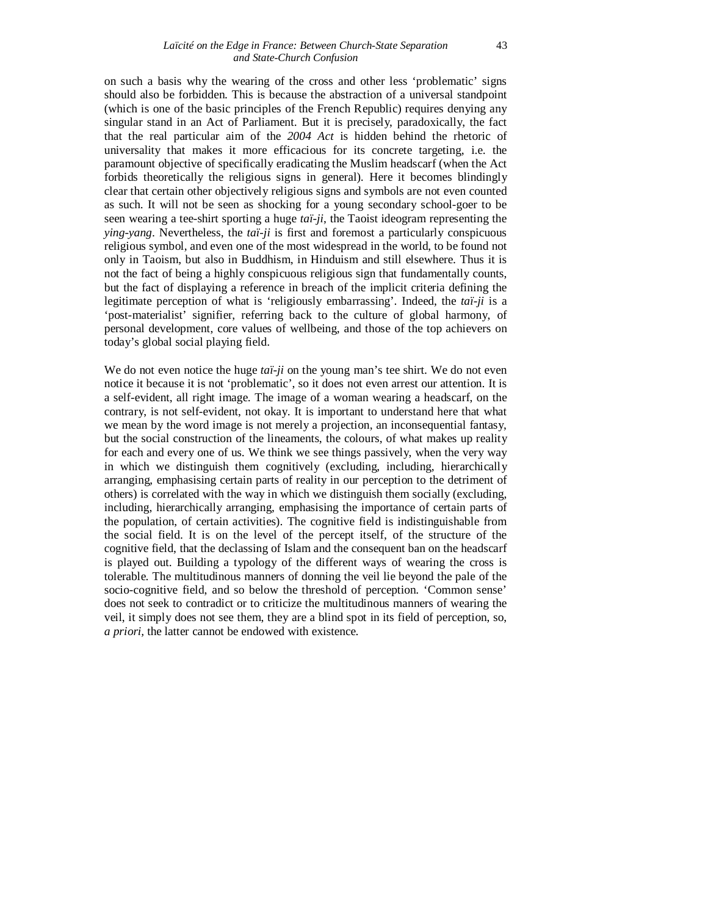on such a basis why the wearing of the cross and other less 'problematic' signs should also be forbidden. This is because the abstraction of a universal standpoint (which is one of the basic principles of the French Republic) requires denying any singular stand in an Act of Parliament. But it is precisely, paradoxically, the fact that the real particular aim of the *2004 Act* is hidden behind the rhetoric of universality that makes it more efficacious for its concrete targeting, i.e. the paramount objective of specifically eradicating the Muslim headscarf (when the Act forbids theoretically the religious signs in general). Here it becomes blindingly clear that certain other objectively religious signs and symbols are not even counted as such. It will not be seen as shocking for a young secondary school-goer to be seen wearing a tee-shirt sporting a huge *taï-ji*, the Taoist ideogram representing the *ying-yang*. Nevertheless, the *taï-ji* is first and foremost a particularly conspicuous religious symbol, and even one of the most widespread in the world, to be found not only in Taoism, but also in Buddhism, in Hinduism and still elsewhere. Thus it is not the fact of being a highly conspicuous religious sign that fundamentally counts, but the fact of displaying a reference in breach of the implicit criteria defining the legitimate perception of what is 'religiously embarrassing'. Indeed, the *taï-ji* is a 'post-materialist' signifier, referring back to the culture of global harmony, of personal development, core values of wellbeing, and those of the top achievers on today's global social playing field.

We do not even notice the huge *taï-ji* on the young man's tee shirt. We do not even notice it because it is not 'problematic', so it does not even arrest our attention. It is a self-evident, all right image. The image of a woman wearing a headscarf, on the contrary, is not self-evident, not okay. It is important to understand here that what we mean by the word image is not merely a projection, an inconsequential fantasy, but the social construction of the lineaments, the colours, of what makes up reality for each and every one of us. We think we see things passively, when the very way in which we distinguish them cognitively (excluding, including, hierarchically arranging, emphasising certain parts of reality in our perception to the detriment of others) is correlated with the way in which we distinguish them socially (excluding, including, hierarchically arranging, emphasising the importance of certain parts of the population, of certain activities). The cognitive field is indistinguishable from the social field. It is on the level of the percept itself, of the structure of the cognitive field, that the declassing of Islam and the consequent ban on the headscarf is played out. Building a typology of the different ways of wearing the cross is tolerable. The multitudinous manners of donning the veil lie beyond the pale of the socio-cognitive field, and so below the threshold of perception. 'Common sense' does not seek to contradict or to criticize the multitudinous manners of wearing the veil, it simply does not see them, they are a blind spot in its field of perception, so, *a priori,* the latter cannot be endowed with existence.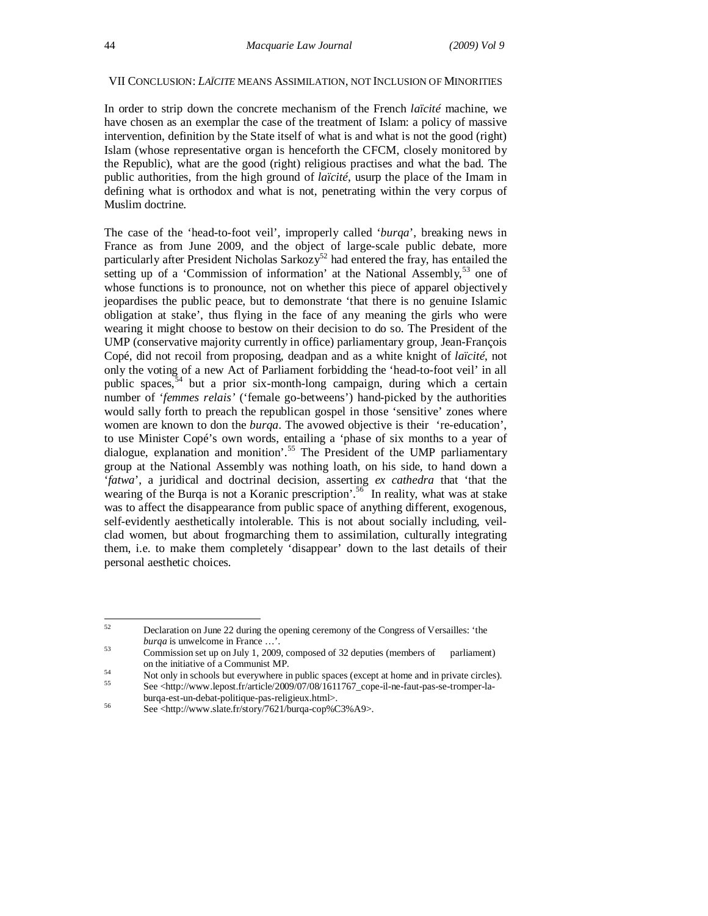#### VII CONCLUSION: *LAÏCITE* MEANS ASSIMILATION, NOT INCLUSION OF MINORITIES

In order to strip down the concrete mechanism of the French *laïcité* machine, we have chosen as an exemplar the case of the treatment of Islam: a policy of massive intervention, definition by the State itself of what is and what is not the good (right) Islam (whose representative organ is henceforth the CFCM, closely monitored by the Republic), what are the good (right) religious practises and what the bad. The public authorities, from the high ground of *laïcité*, usurp the place of the Imam in defining what is orthodox and what is not, penetrating within the very corpus of Muslim doctrine.

The case of the 'head-to-foot veil', improperly called '*burqa*', breaking news in France as from June 2009, and the object of large-scale public debate, more particularly after President Nicholas Sarkozy<sup>52</sup> had entered the fray, has entailed the setting up of a 'Commission of information' at the National Assembly,<sup>53</sup> one of whose functions is to pronounce, not on whether this piece of apparel objectively jeopardises the public peace, but to demonstrate 'that there is no genuine Islamic obligation at stake', thus flying in the face of any meaning the girls who were wearing it might choose to bestow on their decision to do so. The President of the UMP (conservative majority currently in office) parliamentary group, Jean-François Copé, did not recoil from proposing, deadpan and as a white knight of *laïcité*, not only the voting of a new Act of Parliament forbidding the 'head-to-foot veil' in all public spaces, <sup>54</sup> but a prior six-month-long campaign, during which a certain number of '*femmes relais'* ('female go-betweens') hand-picked by the authorities would sally forth to preach the republican gospel in those 'sensitive' zones where women are known to don the *burqa*. The avowed objective is their 're-education', to use Minister Copé's own words, entailing a 'phase of six months to a year of dialogue, explanation and monition'.<sup>55</sup> The President of the UMP parliamentary group at the National Assembly was nothing loath, on his side, to hand down a '*fatwa*', a juridical and doctrinal decision, asserting *ex cathedra* that 'that the wearing of the Burqa is not a Koranic prescription'.<sup>56</sup> In reality, what was at stake was to affect the disappearance from public space of anything different, exogenous, self-evidently aesthetically intolerable. This is not about socially including, veilclad women, but about frogmarching them to assimilation, culturally integrating them, i.e. to make them completely 'disappear' down to the last details of their personal aesthetic choices.

<sup>52</sup> <sup>52</sup> Declaration on June 22 during the opening ceremony of the Congress of Versailles: 'the *burqa* is unwelcome in France …'.

<sup>53</sup> Commission set up on July 1, 2009, composed of 32 deputies (members of parliament) on the initiative of a Communist MP.

<sup>54</sup> Not only in schools but everywhere in public spaces (except at home and in private circles).

<sup>55</sup> See <http://www.lepost.fr/article/2009/07/08/1611767\_cope-il-ne-faut-pas-se-tromper-laburqa-est-un-debat-politique-pas-religieux.html>.

 $56$  See <http://www.slate.fr/story/7621/burqa-cop%C3%A9>.